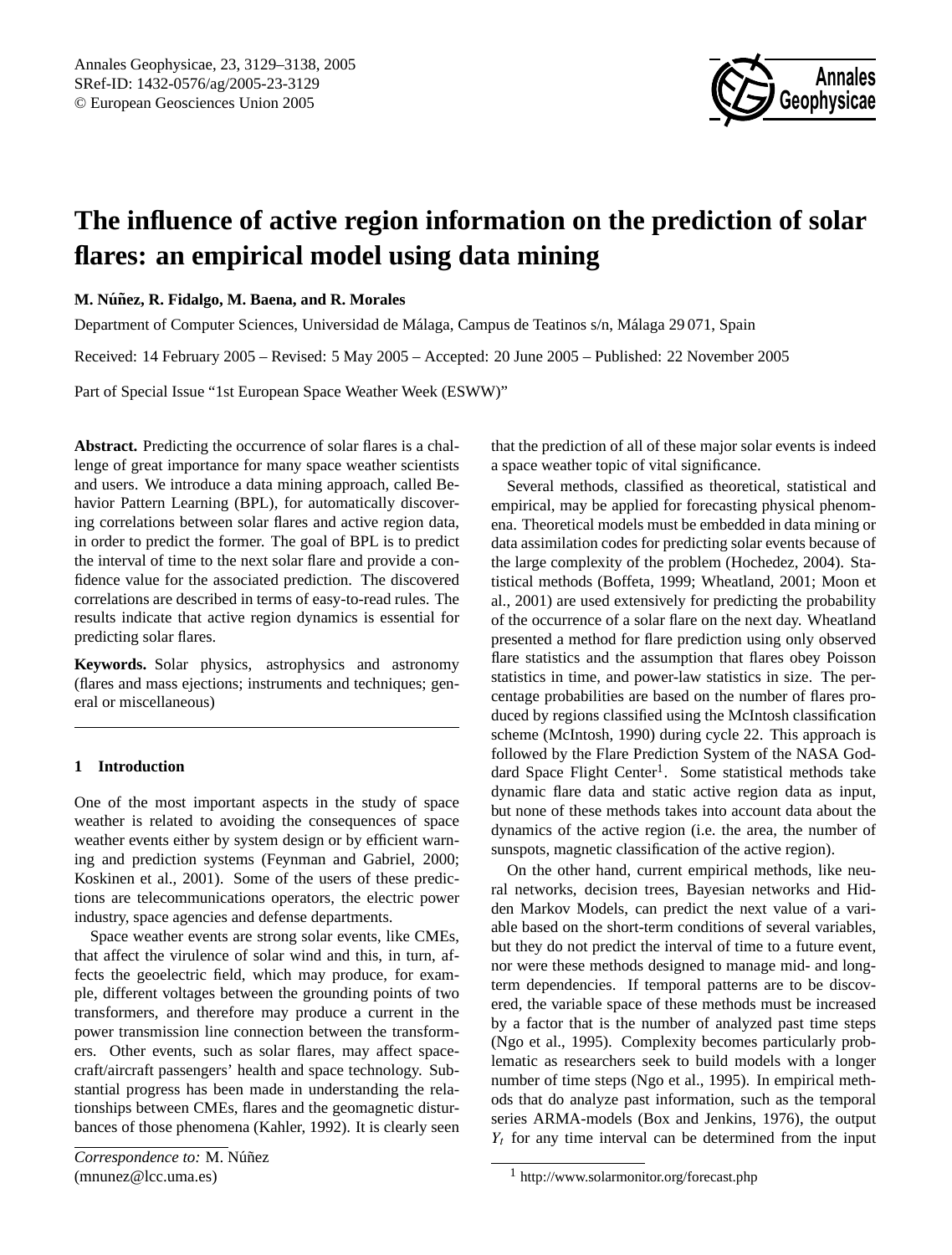

# **The influence of active region information on the prediction of solar flares: an empirical model using data mining**

**M. Nu´nez, R. Fidalgo, M. Baena, and R. Morales ˜**

Department of Computer Sciences, Universidad de Málaga, Campus de Teatinos s/n, Málaga 29 071, Spain

Received: 14 February 2005 – Revised: 5 May 2005 – Accepted: 20 June 2005 – Published: 22 November 2005

Part of Special Issue "1st European Space Weather Week (ESWW)"

**Abstract.** Predicting the occurrence of solar flares is a challenge of great importance for many space weather scientists and users. We introduce a data mining approach, called Behavior Pattern Learning (BPL), for automatically discovering correlations between solar flares and active region data, in order to predict the former. The goal of BPL is to predict the interval of time to the next solar flare and provide a confidence value for the associated prediction. The discovered correlations are described in terms of easy-to-read rules. The results indicate that active region dynamics is essential for predicting solar flares.

**Keywords.** Solar physics, astrophysics and astronomy (flares and mass ejections; instruments and techniques; general or miscellaneous)

## **1 Introduction**

One of the most important aspects in the study of space weather is related to avoiding the consequences of space weather events either by system design or by efficient warning and prediction systems (Feynman and Gabriel, 2000; Koskinen et al., 2001). Some of the users of these predictions are telecommunications operators, the electric power industry, space agencies and defense departments.

<span id="page-0-0"></span>Space weather events are strong solar events, like CMEs, that affect the virulence of solar wind and this, in turn, affects the geoelectric field, which may produce, for example, different voltages between the grounding points of two transformers, and therefore may produce a current in the power transmission line connection between the transformers. Other events, such as solar flares, may affect spacecraft/aircraft passengers' health and space technology. Substantial progress has been made in understanding the relationships between CMEs, flares and the geomagnetic disturbances of those phenomena (Kahler, 1992). It is clearly seen that the prediction of all of these major solar events is indeed a space weather topic of vital significance.

Several methods, classified as theoretical, statistical and empirical, may be applied for forecasting physical phenomena. Theoretical models must be embedded in data mining or data assimilation codes for predicting solar events because of the large complexity of the problem (Hochedez, 2004). Statistical methods (Boffeta, 1999; Wheatland, 2001; Moon et al., 2001) are used extensively for predicting the probability of the occurrence of a solar flare on the next day. Wheatland presented a method for flare prediction using only observed flare statistics and the assumption that flares obey Poisson statistics in time, and power-law statistics in size. The percentage probabilities are based on the number of flares produced by regions classified using the McIntosh classification scheme (McIntosh, 1990) during cycle 22. This approach is followed by the Flare Prediction System of the NASA God-dard Space Flight Center<sup>[1](#page-0-1)</sup>. Some statistical methods take dynamic flare data and static active region data as input, but none of these methods takes into account data about the dynamics of the active region (i.e. the area, the number of sunspots, magnetic classification of the active region).

On the other hand, current empirical methods, like neural networks, decision trees, Bayesian networks and Hidden Markov Models, can predict the next value of a variable based on the short-term conditions of several variables, but they do not predict the interval of time to a future event, nor were these methods designed to manage mid- and longterm dependencies. If temporal patterns are to be discovered, the variable space of these methods must be increased by a factor that is the number of analyzed past time steps (Ngo et al., 1995). Complexity becomes particularly problematic as researchers seek to build models with a longer number of time steps (Ngo et al., 1995). In empirical methods that do analyze past information, such as the temporal series ARMA-models (Box and Jenkins, 1976), the output  $Y_t$  for any time interval can be determined from the input

<span id="page-0-1"></span><sup>1</sup> <http://www.solarmonitor.org/forecast.php>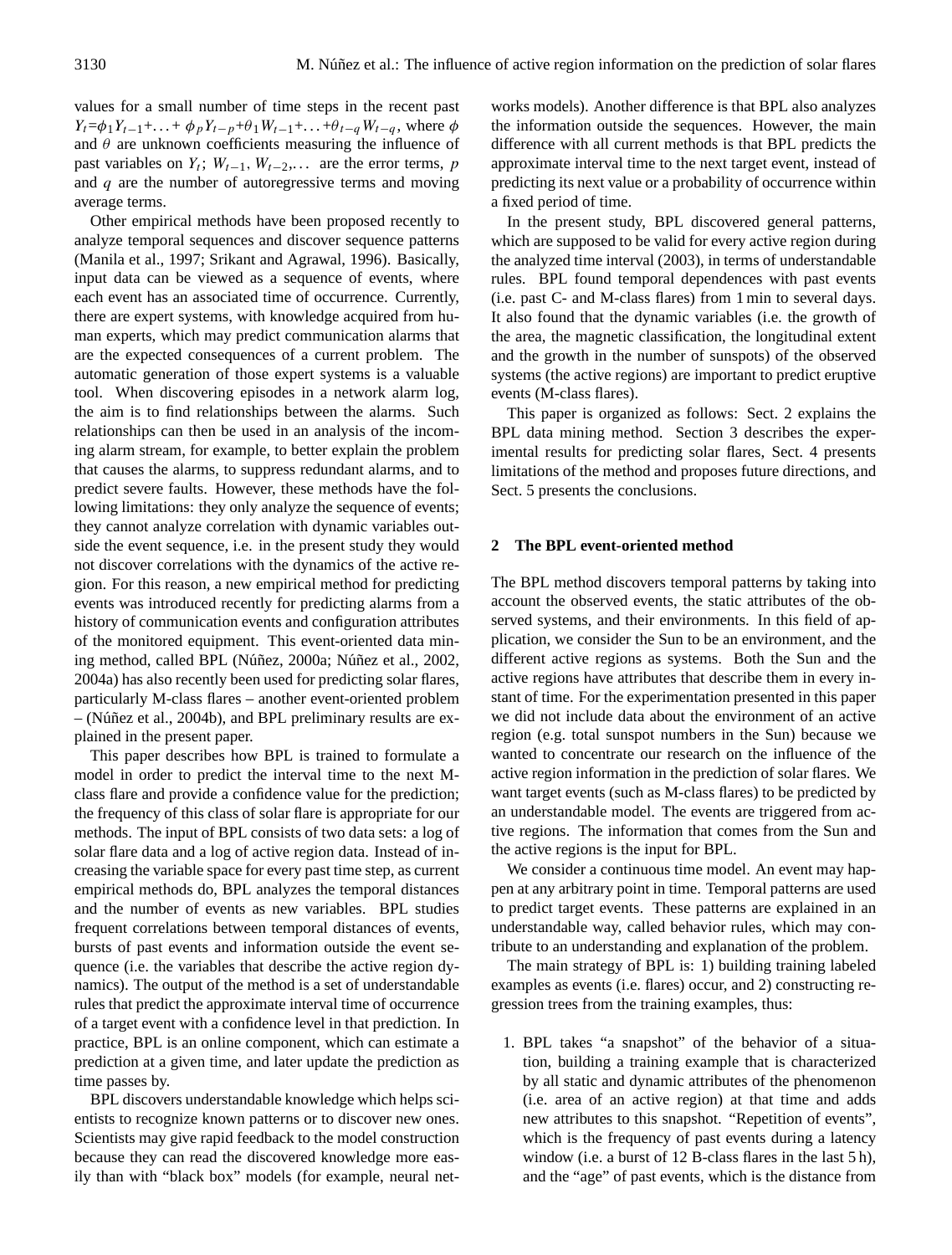values for a small number of time steps in the recent past  $Y_t = \phi_1 Y_{t-1} + ... + \phi_p Y_{t-p} + \theta_1 W_{t-1} + ... + \theta_{t-q} W_{t-q}$ , where  $\phi$ and  $\theta$  are unknown coefficients measuring the influence of past variables on  $Y_t$ ;  $W_{t-1}$ ,  $W_{t-2}$ ,... are the error terms, p and  $q$  are the number of autoregressive terms and moving average terms.

Other empirical methods have been proposed recently to analyze temporal sequences and discover sequence patterns (Manila et al., 1997; Srikant and Agrawal, 1996). Basically, input data can be viewed as a sequence of events, where each event has an associated time of occurrence. Currently, there are expert systems, with knowledge acquired from human experts, which may predict communication alarms that are the expected consequences of a current problem. The automatic generation of those expert systems is a valuable tool. When discovering episodes in a network alarm log, the aim is to find relationships between the alarms. Such relationships can then be used in an analysis of the incoming alarm stream, for example, to better explain the problem that causes the alarms, to suppress redundant alarms, and to predict severe faults. However, these methods have the following limitations: they only analyze the sequence of events; they cannot analyze correlation with dynamic variables outside the event sequence, i.e. in the present study they would not discover correlations with the dynamics of the active region. For this reason, a new empirical method for predicting events was introduced recently for predicting alarms from a history of communication events and configuration attributes of the monitored equipment. This event-oriented data mining method, called BPL (Núñez, 2000a; Núñez et al., 2002, 2004a) has also recently been used for predicting solar flares, particularly M-class flares – another event-oriented problem  $-$  (Núñez et al., 2004b), and BPL preliminary results are explained in the present paper.

This paper describes how BPL is trained to formulate a model in order to predict the interval time to the next Mclass flare and provide a confidence value for the prediction; the frequency of this class of solar flare is appropriate for our methods. The input of BPL consists of two data sets: a log of solar flare data and a log of active region data. Instead of increasing the variable space for every past time step, as current empirical methods do, BPL analyzes the temporal distances and the number of events as new variables. BPL studies frequent correlations between temporal distances of events, bursts of past events and information outside the event sequence (i.e. the variables that describe the active region dynamics). The output of the method is a set of understandable rules that predict the approximate interval time of occurrence of a target event with a confidence level in that prediction. In practice, BPL is an online component, which can estimate a prediction at a given time, and later update the prediction as time passes by.

BPL discovers understandable knowledge which helps scientists to recognize known patterns or to discover new ones. Scientists may give rapid feedback to the model construction because they can read the discovered knowledge more easily than with "black box" models (for example, neural networks models). Another difference is that BPL also analyzes the information outside the sequences. However, the main difference with all current methods is that BPL predicts the approximate interval time to the next target event, instead of predicting its next value or a probability of occurrence within a fixed period of time.

In the present study, BPL discovered general patterns, which are supposed to be valid for every active region during the analyzed time interval (2003), in terms of understandable rules. BPL found temporal dependences with past events (i.e. past C- and M-class flares) from 1 min to several days. It also found that the dynamic variables (i.e. the growth of the area, the magnetic classification, the longitudinal extent and the growth in the number of sunspots) of the observed systems (the active regions) are important to predict eruptive events (M-class flares).

This paper is organized as follows: Sect. 2 explains the BPL data mining method. Section 3 describes the experimental results for predicting solar flares, Sect. 4 presents limitations of the method and proposes future directions, and Sect. 5 presents the conclusions.

#### **2 The BPL event-oriented method**

The BPL method discovers temporal patterns by taking into account the observed events, the static attributes of the observed systems, and their environments. In this field of application, we consider the Sun to be an environment, and the different active regions as systems. Both the Sun and the active regions have attributes that describe them in every instant of time. For the experimentation presented in this paper we did not include data about the environment of an active region (e.g. total sunspot numbers in the Sun) because we wanted to concentrate our research on the influence of the active region information in the prediction of solar flares. We want target events (such as M-class flares) to be predicted by an understandable model. The events are triggered from active regions. The information that comes from the Sun and the active regions is the input for BPL.

We consider a continuous time model. An event may happen at any arbitrary point in time. Temporal patterns are used to predict target events. These patterns are explained in an understandable way, called behavior rules, which may contribute to an understanding and explanation of the problem.

The main strategy of BPL is: 1) building training labeled examples as events (i.e. flares) occur, and 2) constructing regression trees from the training examples, thus:

1. BPL takes "a snapshot" of the behavior of a situation, building a training example that is characterized by all static and dynamic attributes of the phenomenon (i.e. area of an active region) at that time and adds new attributes to this snapshot. "Repetition of events", which is the frequency of past events during a latency window (i.e. a burst of 12 B-class flares in the last 5 h), and the "age" of past events, which is the distance from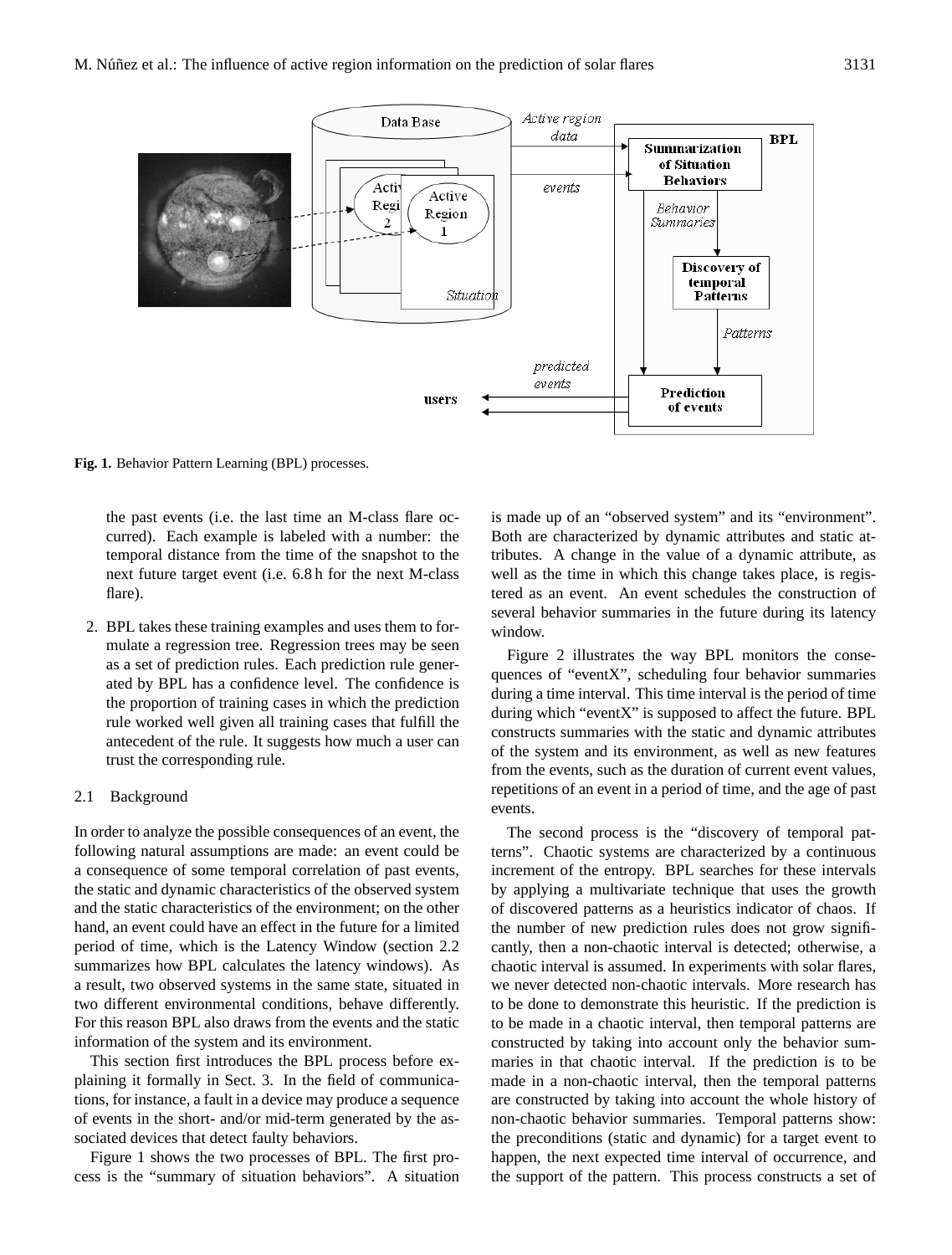

**Fig. 1.** Behavior Pattern Learning (BPL) processes.

the past events (i.e. the last time an M-class flare occurred). Each example is labeled with a number: the temporal distance from the time of the snapshot to the next future target event (i.e. 6.8 h for the next M-class flare).

2. BPL takes these training examples and uses them to formulate a regression tree. Regression trees may be seen as a set of prediction rules. Each prediction rule generated by BPL has a confidence level. The confidence is the proportion of training cases in which the prediction rule worked well given all training cases that fulfill the antecedent of the rule. It suggests how much a user can trust the corresponding rule.

### 2.1 Background

In order to analyze the possible consequences of an event, the following natural assumptions are made: an event could be a consequence of some temporal correlation of past events, the static and dynamic characteristics of the observed system and the static characteristics of the environment; on the other hand, an event could have an effect in the future for a limited period of time, which is the Latency Window (section 2.2 summarizes how BPL calculates the latency windows). As a result, two observed systems in the same state, situated in two different environmental conditions, behave differently. For this reason BPL also draws from the events and the static information of the system and its environment.

This section first introduces the BPL process before explaining it formally in Sect. 3. In the field of communications, for instance, a fault in a device may produce a sequence of events in the short- and/or mid-term generated by the associated devices that detect faulty behaviors.

Figure 1 shows the two processes of BPL. The first process is the "summary of situation behaviors". A situation is made up of an "observed system" and its "environment". Both are characterized by dynamic attributes and static attributes. A change in the value of a dynamic attribute, as well as the time in which this change takes place, is registered as an event. An event schedules the construction of several behavior summaries in the future during its latency window.

Figure 2 illustrates the way BPL monitors the consequences of "eventX", scheduling four behavior summaries during a time interval. This time interval is the period of time during which "eventX" is supposed to affect the future. BPL constructs summaries with the static and dynamic attributes of the system and its environment, as well as new features from the events, such as the duration of current event values, repetitions of an event in a period of time, and the age of past events.

The second process is the "discovery of temporal patterns". Chaotic systems are characterized by a continuous increment of the entropy. BPL searches for these intervals by applying a multivariate technique that uses the growth of discovered patterns as a heuristics indicator of chaos. If the number of new prediction rules does not grow significantly, then a non-chaotic interval is detected; otherwise, a chaotic interval is assumed. In experiments with solar flares, we never detected non-chaotic intervals. More research has to be done to demonstrate this heuristic. If the prediction is to be made in a chaotic interval, then temporal patterns are constructed by taking into account only the behavior summaries in that chaotic interval. If the prediction is to be made in a non-chaotic interval, then the temporal patterns are constructed by taking into account the whole history of non-chaotic behavior summaries. Temporal patterns show: the preconditions (static and dynamic) for a target event to happen, the next expected time interval of occurrence, and the support of the pattern. This process constructs a set of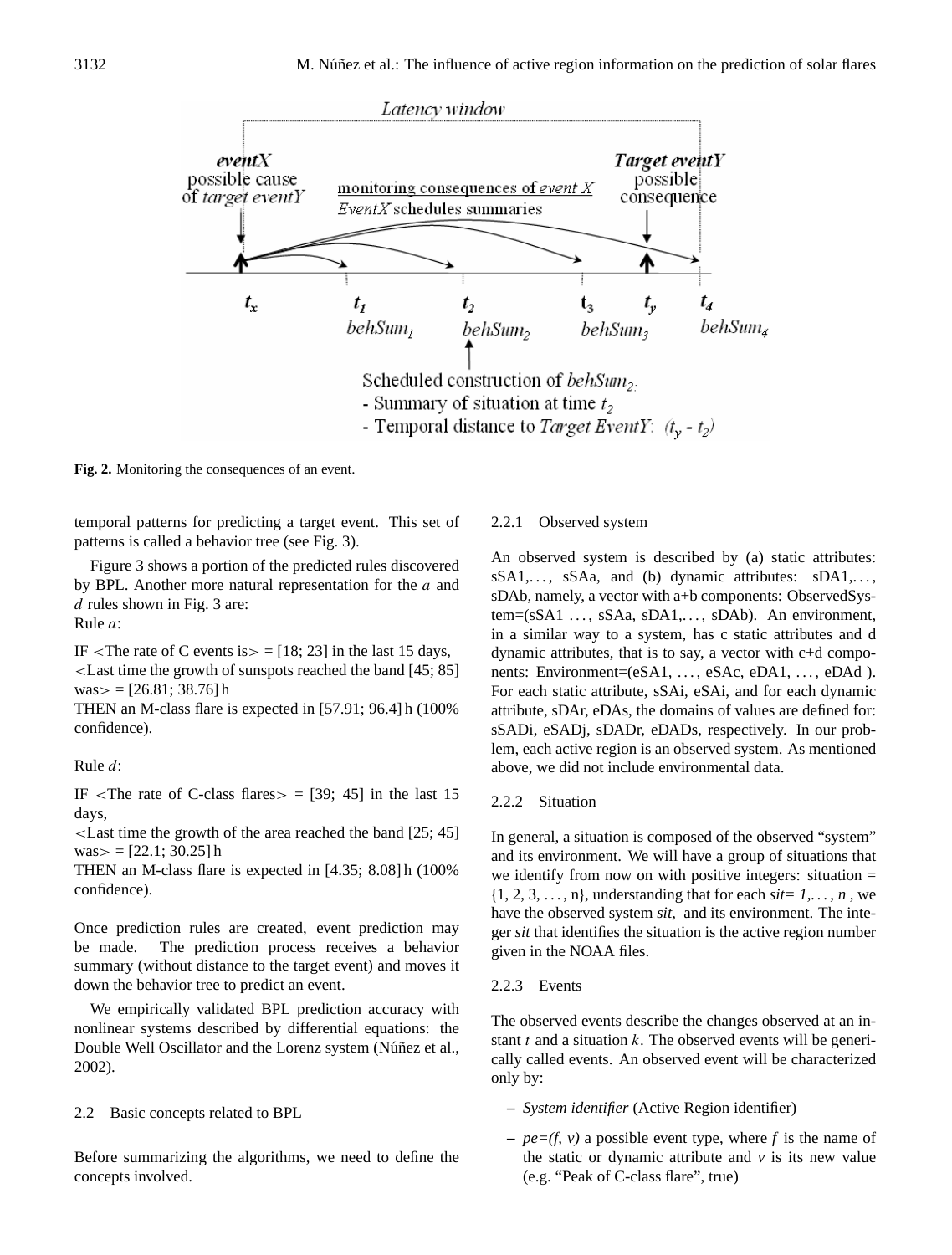

Fig. 2. Monitoring the consequences of an event.

temporal patterns for predicting a target event. This set of patterns is called a behavior tree (see Fig. 3).

Figure 3 shows a portion of the predicted rules discovered by BPL. Another more natural representation for the a and d rules shown in Fig. 3 are: Rule a:

IF <The rate of C events is  $>$  = [18; 23] in the last 15 days, <Last time the growth of sunspots reached the band [45; 85]  $was = [26.81; 38.76]$ h

THEN an M-class flare is expected in [57.91; 96.4] h (100% confidence).

Rule d:

IF  $\le$ The rate of C-class flares  $>$  = [39; 45] in the last 15 days,

<Last time the growth of the area reached the band [25; 45]  $was = [22.1; 30.25]$  h

THEN an M-class flare is expected in [4.35; 8.08] h (100% confidence).

Once prediction rules are created, event prediction may be made. The prediction process receives a behavior summary (without distance to the target event) and moves it down the behavior tree to predict an event.

We empirically validated BPL prediction accuracy with nonlinear systems described by differential equations: the Double Well Oscillator and the Lorenz system (Núñez et al., 2002).

2.2 Basic concepts related to BPL

Before summarizing the algorithms, we need to define the concepts involved.

#### 2.2.1 Observed system

An observed system is described by (a) static attributes:  $sSA1, \ldots$ ,  $sSAa$ , and (b) dynamic attributes:  $sDA1, \ldots$ , sDAb, namely, a vector with a+b components: ObservedSystem=(sSA1 ..., sSAa, sDA1,..., sDAb). An environment, in a similar way to a system, has c static attributes and d dynamic attributes, that is to say, a vector with c+d components: Environment=(eSA1, ..., eSAc, eDA1, ..., eDAd). For each static attribute, sSAi, eSAi, and for each dynamic attribute, sDAr, eDAs, the domains of values are defined for: sSADi, eSADj, sDADr, eDADs, respectively. In our problem, each active region is an observed system. As mentioned above, we did not include environmental data.

#### 2.2.2 Situation

In general, a situation is composed of the observed "system" and its environment. We will have a group of situations that we identify from now on with positive integers: situation  $=$  $\{1, 2, 3, \ldots, n\}$ , understanding that for each  $\text{size } 1, \ldots, n$ , we have the observed system *sit,* and its environment. The integer *sit* that identifies the situation is the active region number given in the NOAA files.

# 2.2.3 Events

The observed events describe the changes observed at an instant  $t$  and a situation  $k$ . The observed events will be generically called events. An observed event will be characterized only by:

- **–** *System identifier* (Active Region identifier)
- **–** *pe=(f, v)* a possible event type, where *f* is the name of the static or dynamic attribute and  $\nu$  is its new value (e.g. "Peak of C-class flare", true)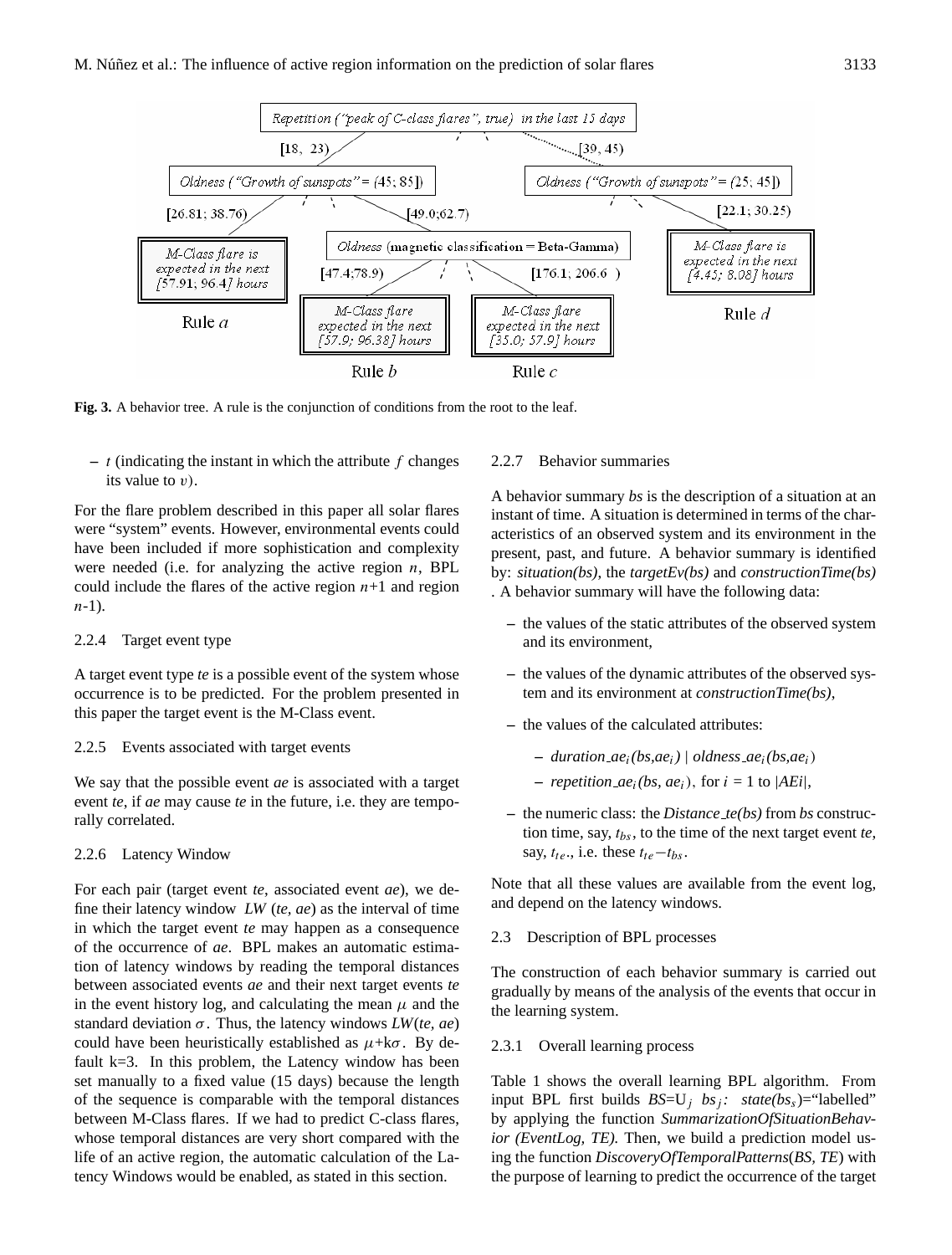

Fig. 3. A behavior tree. A rule is the conjunction of conditions from the root to the leaf.

 $- t$  (indicating the instant in which the attribute  $f$  changes its value to  $v$ ).

For the flare problem described in this paper all solar flares were "system" events. However, environmental events could have been included if more sophistication and complexity were needed (i.e. for analyzing the active region  $n$ , BPL could include the flares of the active region  $n+1$  and region  $n-1$ ).

## 2.2.4 Target event type

A target event type *te* is a possible event of the system whose occurrence is to be predicted. For the problem presented in this paper the target event is the M-Class event.

#### 2.2.5 Events associated with target events

We say that the possible event *ae* is associated with a target event *te*, if *ae* may cause *te* in the future, i.e. they are temporally correlated.

2.2.6 Latency Window

For each pair (target event *te*, associated event *ae*), we define their latency window *LW* (*te, ae*) as the interval of time in which the target event *te* may happen as a consequence of the occurrence of *ae*. BPL makes an automatic estimation of latency windows by reading the temporal distances between associated events *ae* and their next target events *te* in the event history log, and calculating the mean  $\mu$  and the standard deviation σ. Thus, the latency windows *LW*(*te, ae*) could have been heuristically established as  $\mu + k\sigma$ . By default  $k=3$ . In this problem, the Latency window has been set manually to a fixed value (15 days) because the length of the sequence is comparable with the temporal distances between M-Class flares. If we had to predict C-class flares, whose temporal distances are very short compared with the life of an active region, the automatic calculation of the Latency Windows would be enabled, as stated in this section.

## 2.2.7 Behavior summaries

A behavior summary *bs* is the description of a situation at an instant of time. A situation is determined in terms of the characteristics of an observed system and its environment in the present, past, and future. A behavior summary is identified by: *situation(bs)*, the *targetEv(bs)* and *constructionTime(bs)* . A behavior summary will have the following data:

- **–** the values of the static attributes of the observed system and its environment,
- **–** the values of the dynamic attributes of the observed system and its environment at *constructionTime(bs)*,
- **–** the values of the calculated attributes:
	- **–** *duration ae*i*(bs,ae*i*)* | *oldness ae*i*(bs,ae*i)
	- $-$  *repetition\_ae<sub>i</sub>(bs, ae<sub>i</sub>), for*  $i = 1$  *to |AEi|,*
- **–** the numeric class: the *Distance te(bs)* from *bs* construction time, say,  $t_{bs}$ , to the time of the next target event  $te$ , say,  $t_{te}$ ., i.e. these  $t_{te}-t_{bs}$ .

Note that all these values are available from the event log, and depend on the latency windows.

2.3 Description of BPL processes

The construction of each behavior summary is carried out gradually by means of the analysis of the events that occur in the learning system.

# 2.3.1 Overall learning process

Table 1 shows the overall learning BPL algorithm. From input BPL first builds  $BS=U_j$  *bs*<sub>j</sub>: state(*bs<sub>s</sub>*)="labelled" by applying the function *SummarizationOfSituationBehavior (EventLog, TE).* Then, we build a prediction model using the function *DiscoveryOfTemporalPatterns*(*BS, TE*) with the purpose of learning to predict the occurrence of the target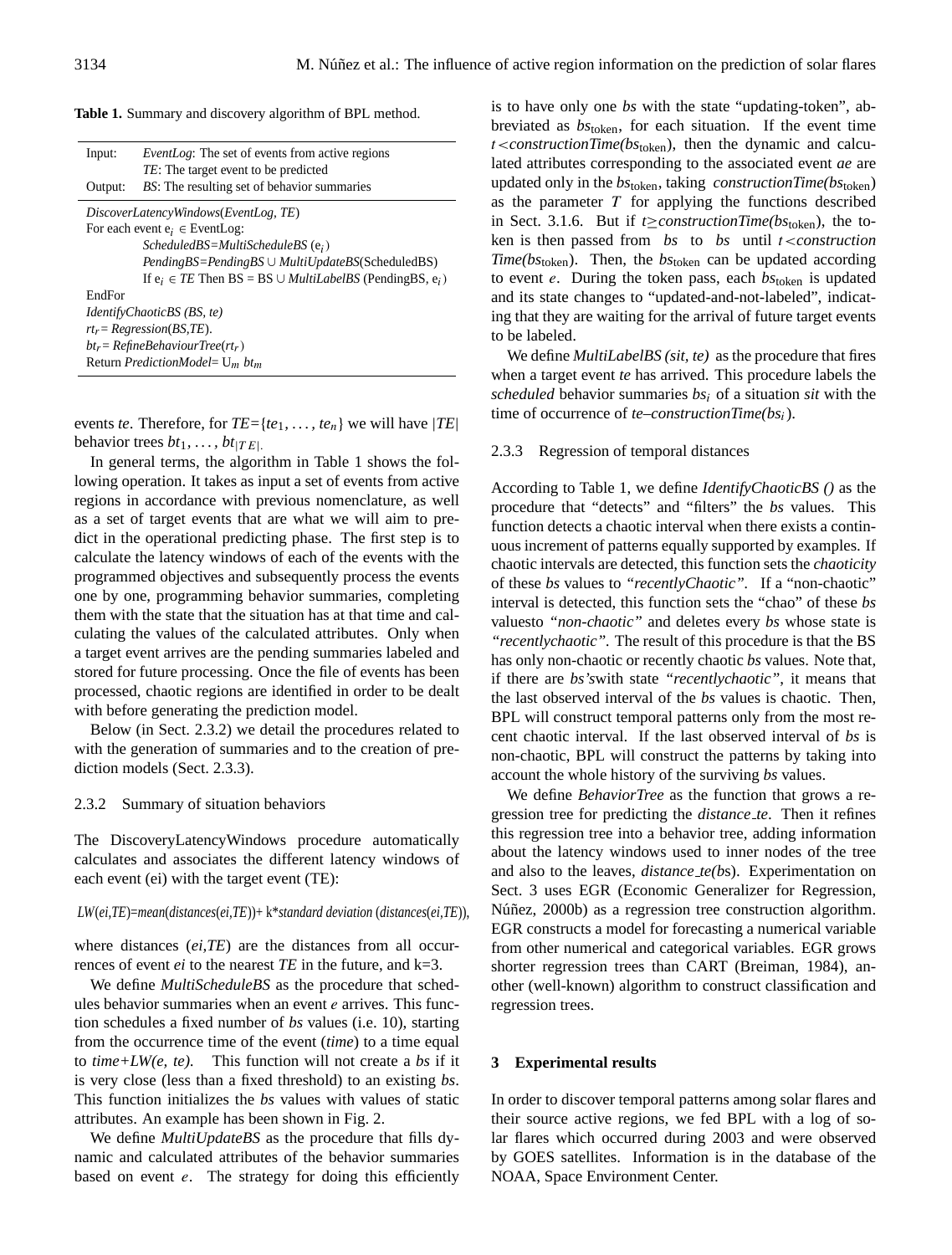|  |  |  |  |  | <b>Table 1.</b> Summary and discovery algorithm of BPL method. |  |  |  |  |  |  |
|--|--|--|--|--|----------------------------------------------------------------|--|--|--|--|--|--|
|--|--|--|--|--|----------------------------------------------------------------|--|--|--|--|--|--|

| Input:                                                       | <i>EventLog:</i> The set of events from active regions<br><i>TE</i> : The target event to be predicted |  |  |  |
|--------------------------------------------------------------|--------------------------------------------------------------------------------------------------------|--|--|--|
| Output:                                                      | <i>BS</i> : The resulting set of behavior summaries                                                    |  |  |  |
|                                                              | DiscoverLatencyWindows(EventLog, TE)                                                                   |  |  |  |
|                                                              | For each event $e_i \in$ Event Log:                                                                    |  |  |  |
|                                                              | $ScheduledBS = MultiScheduleBS(ei)$                                                                    |  |  |  |
|                                                              | $PendingBS = PendingBS \cup MultiUpdateBS(ScheduledBS)$                                                |  |  |  |
|                                                              | If $e_i \in TE$ Then BS = BS $\cup$ <i>MultiLabelBS</i> (PendingBS, $e_i$ )                            |  |  |  |
| EndFor                                                       |                                                                                                        |  |  |  |
|                                                              | IdentifyChaoticBS (BS, te)                                                                             |  |  |  |
|                                                              | $rt_r = Regression(BS, TE)$ .                                                                          |  |  |  |
| $bt_r = RefineBehaviorTree(rt_r)$                            |                                                                                                        |  |  |  |
| Return <i>PredictionModel</i> = $U_m$ <i>bt</i> <sub>m</sub> |                                                                                                        |  |  |  |

events *te*. Therefore, for  $TE = \{te_1, \ldots, te_n\}$  we will have  $|TE|$ behavior trees  $bt_1, \ldots, bt_{|TE|}$ .

In general terms, the algorithm in Table 1 shows the following operation. It takes as input a set of events from active regions in accordance with previous nomenclature, as well as a set of target events that are what we will aim to predict in the operational predicting phase. The first step is to calculate the latency windows of each of the events with the programmed objectives and subsequently process the events one by one, programming behavior summaries, completing them with the state that the situation has at that time and calculating the values of the calculated attributes. Only when a target event arrives are the pending summaries labeled and stored for future processing. Once the file of events has been processed, chaotic regions are identified in order to be dealt with before generating the prediction model.

Below (in Sect. 2.3.2) we detail the procedures related to with the generation of summaries and to the creation of prediction models (Sect. 2.3.3).

#### 2.3.2 Summary of situation behaviors

The DiscoveryLatencyWindows procedure automatically calculates and associates the different latency windows of each event (ei) with the target event (TE):

#### *LW*(*ei,TE*)=*mean*(*distances*(*ei,TE*))+ k\**standard deviation* (*distances*(*ei,TE*)),

where distances (*ei,TE*) are the distances from all occurrences of event *ei* to the nearest *TE* in the future, and k=3.

We define *MultiScheduleBS* as the procedure that schedules behavior summaries when an event  $e$  arrives. This function schedules a fixed number of *bs* values (i.e. 10), starting from the occurrence time of the event (*time*) to a time equal to *time+LW(e, te).* This function will not create a *bs* if it is very close (less than a fixed threshold) to an existing *bs*. This function initializes the *bs* values with values of static attributes. An example has been shown in Fig. 2.

We define *MultiUpdateBS* as the procedure that fills dynamic and calculated attributes of the behavior summaries based on event  $e$ . The strategy for doing this efficiently is to have only one *bs* with the state "updating-token", abbreviated as *bs*token, for each situation. If the event time t<*constructionTime(bs*token), then the dynamic and calculated attributes corresponding to the associated event *ae* are updated only in the *bs*token, taking *constructionTime(bs*token) as the parameter  $T$  for applying the functions described in Sect. 3.1.6. But if *t*≥*constructionTime(bs*token), the token is then passed from *bs* to *bs* until t<*construction Time(bs*token). Then, the *bs*token can be updated according to event e. During the token pass, each *bs*token is updated and its state changes to "updated-and-not-labeled", indicating that they are waiting for the arrival of future target events to be labeled.

We define *MultiLabelBS (sit, te)* as the procedure that fires when a target event *te* has arrived. This procedure labels the *scheduled* behavior summaries *bs*<sup>i</sup> of a situation *sit* with the time of occurrence of *te*–*constructionTime(bs*i).

#### 2.3.3 Regression of temporal distances

According to Table 1, we define *IdentifyChaoticBS ()* as the procedure that "detects" and "filters" the *bs* values. This function detects a chaotic interval when there exists a continuous increment of patterns equally supported by examples. If chaotic intervals are detected, this function sets the *chaoticity* of these *bs* values to *"recentlyChaotic".* If a "non-chaotic" interval is detected, this function sets the "chao" of these *bs* valuesto *"non-chaotic"* and deletes every *bs* whose state is *"recentlychaotic".* The result of this procedure is that the BS has only non-chaotic or recently chaotic *bs* values. Note that, if there are *bs's*with state *"recentlychaotic"*, it means that the last observed interval of the *bs* values is chaotic. Then, BPL will construct temporal patterns only from the most recent chaotic interval. If the last observed interval of *bs* is non-chaotic, BPL will construct the patterns by taking into account the whole history of the surviving *bs* values.

We define *BehaviorTree* as the function that grows a regression tree for predicting the *distance te*. Then it refines this regression tree into a behavior tree, adding information about the latency windows used to inner nodes of the tree and also to the leaves, *distance te(b*s). Experimentation on Sect. 3 uses EGR (Economic Generalizer for Regression, Núñez, 2000b) as a regression tree construction algorithm. EGR constructs a model for forecasting a numerical variable from other numerical and categorical variables. EGR grows shorter regression trees than CART (Breiman, 1984), another (well-known) algorithm to construct classification and regression trees.

#### **3 Experimental results**

In order to discover temporal patterns among solar flares and their source active regions, we fed BPL with a log of solar flares which occurred during 2003 and were observed by GOES satellites. Information is in the database of the NOAA, Space Environment Center.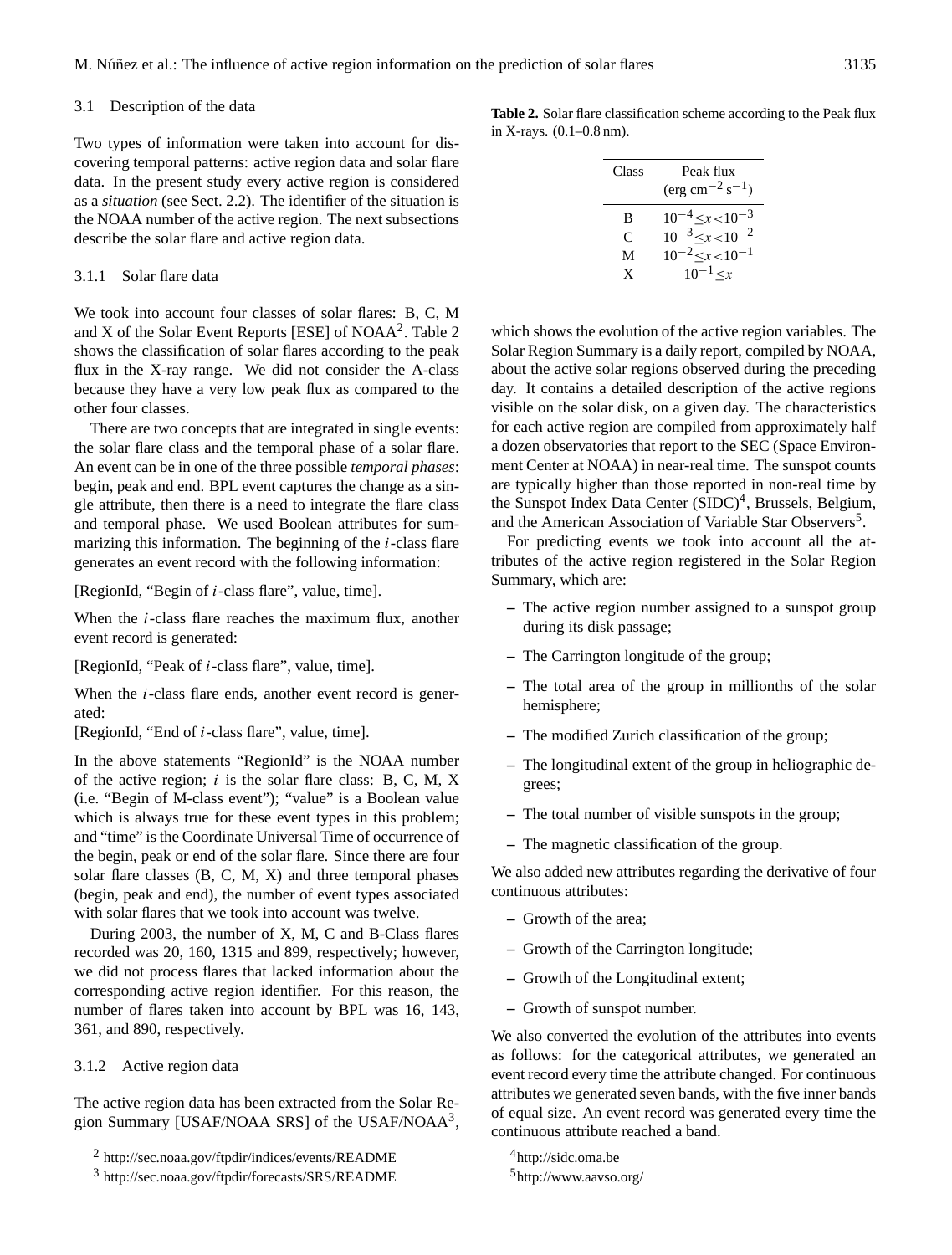#### 3.1 Description of the data

Two types of information were taken into account for discovering temporal patterns: active region data and solar flare data. In the present study every active region is considered as a *situation* (see Sect. 2.2). The identifier of the situation is the NOAA number of the active region. The next subsections describe the solar flare and active region data.

## 3.1.1 Solar flare data

We took into account four classes of solar flares: B, C, M and X of the Solar Event Reports [ESE] of  $NOAA<sup>2</sup>$  $NOAA<sup>2</sup>$  $NOAA<sup>2</sup>$ . Table 2 shows the classification of solar flares according to the peak flux in the X-ray range. We did not consider the A-class because they have a very low peak flux as compared to the other four classes.

There are two concepts that are integrated in single events: the solar flare class and the temporal phase of a solar flare. An event can be in one of the three possible *temporal phases*: begin, peak and end. BPL event captures the change as a single attribute, then there is a need to integrate the flare class and temporal phase. We used Boolean attributes for summarizing this information. The beginning of the  $i$ -class flare generates an event record with the following information:

[RegionId, "Begin of i-class flare", value, time].

When the *i*-class flare reaches the maximum flux, another event record is generated:

[RegionId, "Peak of i-class flare", value, time].

When the *i*-class flare ends, another event record is generated:

[RegionId, "End of i-class flare", value, time].

In the above statements "RegionId" is the NOAA number of the active region;  $i$  is the solar flare class: B, C, M, X (i.e. "Begin of M-class event"); "value" is a Boolean value which is always true for these event types in this problem; and "time" is the Coordinate Universal Time of occurrence of the begin, peak or end of the solar flare. Since there are four solar flare classes (B, C, M, X) and three temporal phases (begin, peak and end), the number of event types associated with solar flares that we took into account was twelve.

During 2003, the number of X, M, C and B-Class flares recorded was 20, 160, 1315 and 899, respectively; however, we did not process flares that lacked information about the corresponding active region identifier. For this reason, the number of flares taken into account by BPL was 16, 143, 361, and 890, respectively.

3.1.2 Active region data

The active region data has been extracted from the Solar Re-gion Summary [USAF/NOAA SRS] of the USAF/NOAA<sup>[3](#page-6-1)</sup>,

**Table 2.** Solar flare classification scheme according to the Peak flux in X-rays. (0.1–0.8 nm).

| Class | Peak flux<br>$(\text{erg cm}^{-2} \text{ s}^{-1})$ |
|-------|----------------------------------------------------|
| B     | $10^{-4} < x < 10^{-3}$                            |
| C     | $10^{-3} < x < 10^{-2}$                            |
| М     | $10^{-2} < x < 10^{-1}$                            |
| X     | $10^{-1} < x$                                      |
|       |                                                    |

which shows the evolution of the active region variables. The Solar Region Summary is a daily report, compiled by NOAA, about the active solar regions observed during the preceding day. It contains a detailed description of the active regions visible on the solar disk, on a given day. The characteristics for each active region are compiled from approximately half a dozen observatories that report to the SEC (Space Environment Center at NOAA) in near-real time. The sunspot counts are typically higher than those reported in non-real time by the Sunspot Index Data Center (SIDC)<sup>[4](#page-6-2)</sup>, Brussels, Belgium, and the American Association of Variable Star Observers<sup>[5](#page-6-3)</sup>.

For predicting events we took into account all the attributes of the active region registered in the Solar Region Summary, which are:

- **–** The active region number assigned to a sunspot group during its disk passage;
- **–** The Carrington longitude of the group;
- **–** The total area of the group in millionths of the solar hemisphere;
- **–** The modified Zurich classification of the group;
- **–** The longitudinal extent of the group in heliographic degrees;
- **–** The total number of visible sunspots in the group;
- **–** The magnetic classification of the group.

We also added new attributes regarding the derivative of four continuous attributes:

- **–** Growth of the area;
- **–** Growth of the Carrington longitude;
- **–** Growth of the Longitudinal extent;
- **–** Growth of sunspot number.

We also converted the evolution of the attributes into events as follows: for the categorical attributes, we generated an event record every time the attribute changed. For continuous attributes we generated seven bands, with the five inner bands of equal size. An event record was generated every time the continuous attribute reached a band.

<sup>2</sup> <http://sec.noaa.gov/ftpdir/indices/events/README>

<span id="page-6-1"></span><span id="page-6-0"></span><sup>3</sup> <http://sec.noaa.gov/ftpdir/forecasts/SRS/README>

<sup>4</sup><http://sidc.oma.be>

<span id="page-6-3"></span><span id="page-6-2"></span><sup>5</sup><http://www.aavso.org/>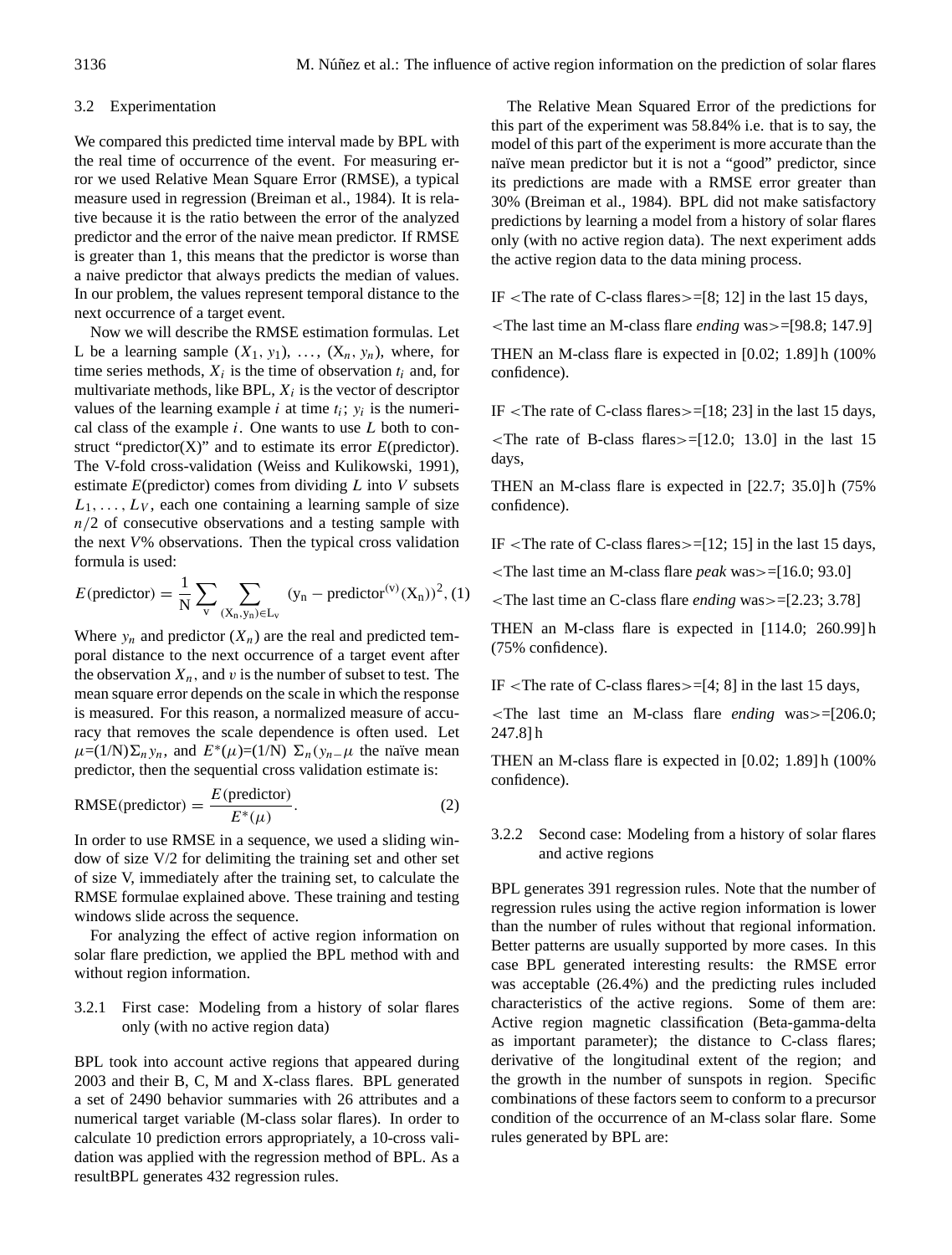### 3.2 Experimentation

We compared this predicted time interval made by BPL with the real time of occurrence of the event. For measuring error we used Relative Mean Square Error (RMSE), a typical measure used in regression (Breiman et al., 1984). It is relative because it is the ratio between the error of the analyzed predictor and the error of the naive mean predictor. If RMSE is greater than 1, this means that the predictor is worse than a naive predictor that always predicts the median of values. In our problem, the values represent temporal distance to the next occurrence of a target event.

Now we will describe the RMSE estimation formulas. Let L be a learning sample  $(X_1, y_1)$ , ...,  $(X_n, y_n)$ , where, for time series methods,  $X_i$  is the time of observation  $t_i$  and, for multivariate methods, like BPL,  $X_i$  is the vector of descriptor values of the learning example *i* at time  $t_i$ ;  $y_i$  is the numerical class of the example  $i$ . One wants to use  $L$  both to construct "predictor(X)" and to estimate its error *E*(predictor). The V-fold cross-validation (Weiss and Kulikowski, 1991), estimate  $E$ (predictor) comes from dividing  $L$  into  $V$  subsets  $L_1, \ldots, L_V$ , each one containing a learning sample of size  $n/2$  of consecutive observations and a testing sample with the next *V*% observations. Then the typical cross validation formula is used:

$$
E(\text{predictor}) = \frac{1}{N} \sum_{v} \sum_{(X_n, y_n) \in L_v} (y_n - \text{predictor}^{(v)}(X_n))^2, (1)
$$

Where  $y_n$  and predictor  $(X_n)$  are the real and predicted temporal distance to the next occurrence of a target event after the observation  $X_n$ , and v is the number of subset to test. The mean square error depends on the scale in which the response is measured. For this reason, a normalized measure of accuracy that removes the scale dependence is often used. Let  $\mu=(1/N)\Sigma_n y_n$ , and  $E^*(\mu)=(1/N)\Sigma_n(y_n-\mu)$  the naïve mean predictor, then the sequential cross validation estimate is:

RMSE(predictor) = 
$$
\frac{E(\text{predictor})}{E^*(\mu)}.
$$
 (2)

In order to use RMSE in a sequence, we used a sliding window of size V/2 for delimiting the training set and other set of size V, immediately after the training set, to calculate the RMSE formulae explained above. These training and testing windows slide across the sequence.

For analyzing the effect of active region information on solar flare prediction, we applied the BPL method with and without region information.

## 3.2.1 First case: Modeling from a history of solar flares only (with no active region data)

BPL took into account active regions that appeared during 2003 and their B, C, M and X-class flares. BPL generated a set of 2490 behavior summaries with 26 attributes and a numerical target variable (M-class solar flares). In order to calculate 10 prediction errors appropriately, a 10-cross validation was applied with the regression method of BPL. As a resultBPL generates 432 regression rules.

The Relative Mean Squared Error of the predictions for this part of the experiment was 58.84% i.e. that is to say, the model of this part of the experiment is more accurate than the naïve mean predictor but it is not a "good" predictor, since its predictions are made with a RMSE error greater than 30% (Breiman et al., 1984). BPL did not make satisfactory predictions by learning a model from a history of solar flares only (with no active region data). The next experiment adds the active region data to the data mining process.

IF  $\le$ The rate of C-class flares $\ge$ =[8; 12] in the last 15 days,

<The last time an M-class flare *ending* was>=[98.8; 147.9]

THEN an M-class flare is expected in [0.02; 1.89] h (100% confidence).

IF  $\le$ The rate of C-class flares $\ge$ =[18; 23] in the last 15 days,

 $\le$ The rate of B-class flares $\ge$ =[12.0; 13.0] in the last 15 days,

THEN an M-class flare is expected in [22.7; 35.0] h (75% confidence).

IF  $\le$ The rate of C-class flares $\ge$ =[12; 15] in the last 15 days,

<The last time an M-class flare *peak* was>=[16.0; 93.0]

<The last time an C-class flare *ending* was>=[2.23; 3.78]

THEN an M-class flare is expected in [114.0; 260.99] h (75% confidence).

IF <The rate of C-class flares>=[4; 8] in the last 15 days,

<The last time an M-class flare *ending* was>=[206.0; 247.8] h

THEN an M-class flare is expected in [0.02; 1.89] h (100% confidence).

3.2.2 Second case: Modeling from a history of solar flares and active regions

BPL generates 391 regression rules. Note that the number of regression rules using the active region information is lower than the number of rules without that regional information. Better patterns are usually supported by more cases. In this case BPL generated interesting results: the RMSE error was acceptable (26.4%) and the predicting rules included characteristics of the active regions. Some of them are: Active region magnetic classification (Beta-gamma-delta as important parameter); the distance to C-class flares; derivative of the longitudinal extent of the region; and the growth in the number of sunspots in region. Specific combinations of these factors seem to conform to a precursor condition of the occurrence of an M-class solar flare. Some rules generated by BPL are: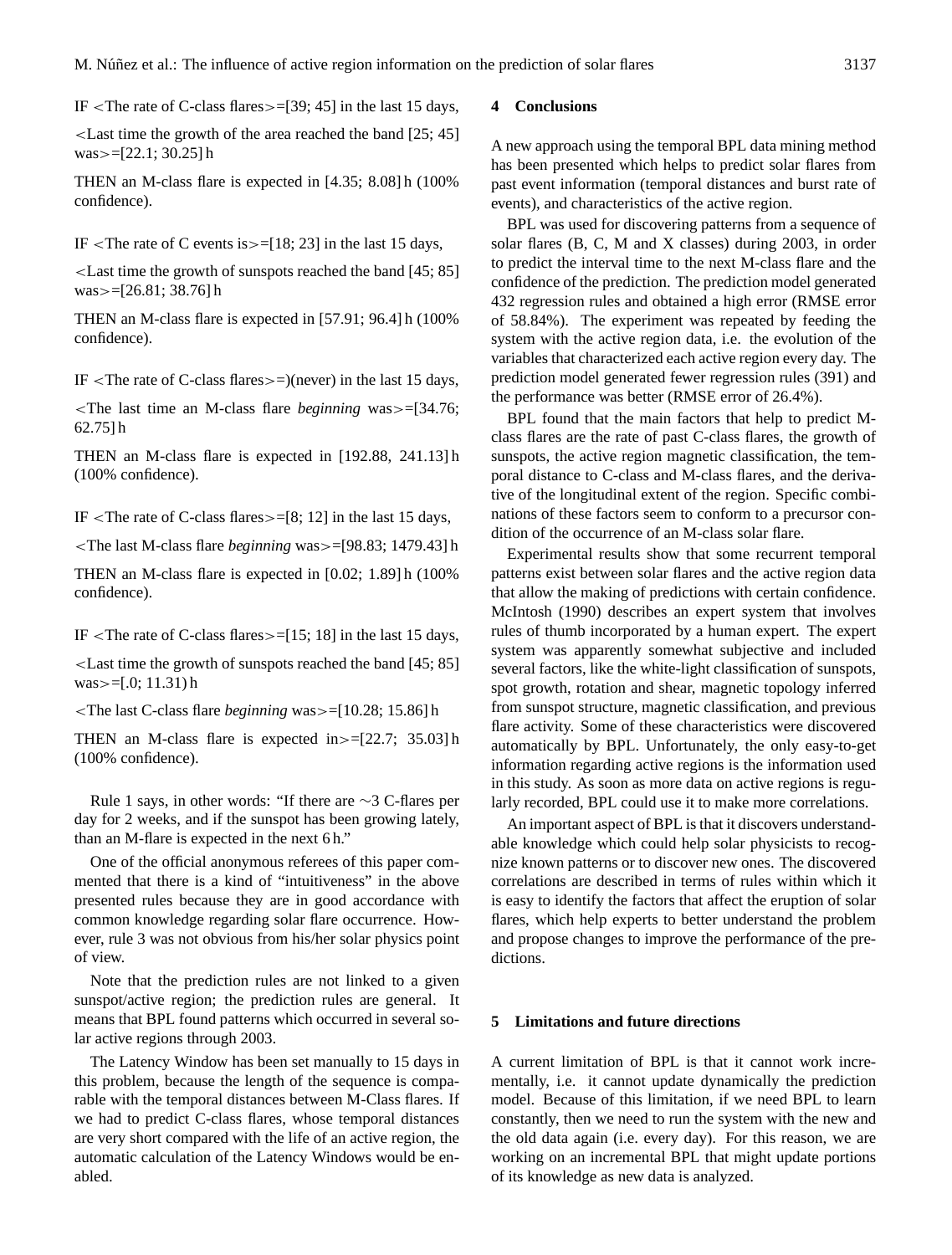IF <The rate of C-class flares>=[39; 45] in the last 15 days,

<Last time the growth of the area reached the band [25; 45] was $>=[22.1; 30.25]$  h

THEN an M-class flare is expected in [4.35; 8.08] h (100% confidence).

IF  $\le$ The rate of C events is  $\ge$  = [18; 23] in the last 15 days,

<Last time the growth of sunspots reached the band [45; 85] was>=[26.81; 38.76] h

THEN an M-class flare is expected in [57.91; 96.4] h (100% confidence).

IF  $\le$ The rate of C-class flares $\ge$ =)(never) in the last 15 days,

<The last time an M-class flare *beginning* was>=[34.76; 62.75] h

THEN an M-class flare is expected in [192.88, 241.13] h (100% confidence).

IF  $\le$ The rate of C-class flares $\ge$ =[8; 12] in the last 15 days,

<The last M-class flare *beginning* was>=[98.83; 1479.43] h

THEN an M-class flare is expected in [0.02; 1.89] h (100% confidence).

IF  $\le$ The rate of C-class flares $\ge$ =[15; 18] in the last 15 days,

<Last time the growth of sunspots reached the band [45; 85] was $>=[.0; 11.31)$  h

<The last C-class flare *beginning* was>=[10.28; 15.86] h

THEN an M-class flare is expected in $>=[22.7; 35.03]$  h (100% confidence).

Rule 1 says, in other words: "If there are ∼3 C-flares per day for 2 weeks, and if the sunspot has been growing lately, than an M-flare is expected in the next 6 h."

One of the official anonymous referees of this paper commented that there is a kind of "intuitiveness" in the above presented rules because they are in good accordance with common knowledge regarding solar flare occurrence. However, rule 3 was not obvious from his/her solar physics point of view.

Note that the prediction rules are not linked to a given sunspot/active region; the prediction rules are general. It means that BPL found patterns which occurred in several solar active regions through 2003.

The Latency Window has been set manually to 15 days in this problem, because the length of the sequence is comparable with the temporal distances between M-Class flares. If we had to predict C-class flares, whose temporal distances are very short compared with the life of an active region, the automatic calculation of the Latency Windows would be enabled.

### **4 Conclusions**

A new approach using the temporal BPL data mining method has been presented which helps to predict solar flares from past event information (temporal distances and burst rate of events), and characteristics of the active region.

BPL was used for discovering patterns from a sequence of solar flares (B, C, M and X classes) during 2003, in order to predict the interval time to the next M-class flare and the confidence of the prediction. The prediction model generated 432 regression rules and obtained a high error (RMSE error of 58.84%). The experiment was repeated by feeding the system with the active region data, i.e. the evolution of the variables that characterized each active region every day. The prediction model generated fewer regression rules (391) and the performance was better (RMSE error of 26.4%).

BPL found that the main factors that help to predict Mclass flares are the rate of past C-class flares, the growth of sunspots, the active region magnetic classification, the temporal distance to C-class and M-class flares, and the derivative of the longitudinal extent of the region. Specific combinations of these factors seem to conform to a precursor condition of the occurrence of an M-class solar flare.

Experimental results show that some recurrent temporal patterns exist between solar flares and the active region data that allow the making of predictions with certain confidence. McIntosh (1990) describes an expert system that involves rules of thumb incorporated by a human expert. The expert system was apparently somewhat subjective and included several factors, like the white-light classification of sunspots, spot growth, rotation and shear, magnetic topology inferred from sunspot structure, magnetic classification, and previous flare activity. Some of these characteristics were discovered automatically by BPL. Unfortunately, the only easy-to-get information regarding active regions is the information used in this study. As soon as more data on active regions is regularly recorded, BPL could use it to make more correlations.

An important aspect of BPL is that it discovers understandable knowledge which could help solar physicists to recognize known patterns or to discover new ones. The discovered correlations are described in terms of rules within which it is easy to identify the factors that affect the eruption of solar flares, which help experts to better understand the problem and propose changes to improve the performance of the predictions.

## **5 Limitations and future directions**

A current limitation of BPL is that it cannot work incrementally, i.e. it cannot update dynamically the prediction model. Because of this limitation, if we need BPL to learn constantly, then we need to run the system with the new and the old data again (i.e. every day). For this reason, we are working on an incremental BPL that might update portions of its knowledge as new data is analyzed.